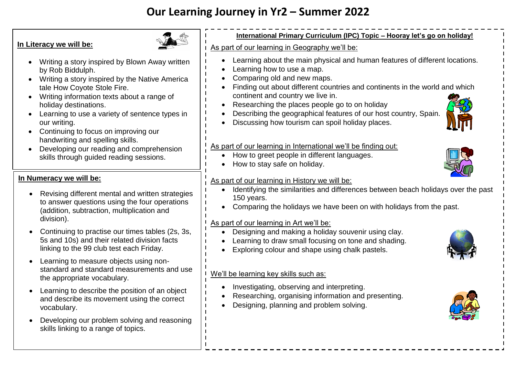# **Our Learning Journey in Yr2 – Summer 2022**

## **In Literacy we will be:**



- Writing a story inspired by Blown Away written by Rob Biddulph.
- Writing a story inspired by the Native America tale How Coyote Stole Fire.
- Writing information texts about a range of holiday destinations.
- Learning to use a variety of sentence types in our writing.
- Continuing to focus on improving our handwriting and spelling skills.
- Developing our reading and comprehension skills through guided reading sessions.

## **In Numeracy we will be:**

- Revising different mental and written strategies to answer questions using the four operations (addition, subtraction, multiplication and division).
- Continuing to practise our times tables (2s, 3s, 5s and 10s) and their related division facts linking to the 99 club test each Friday.
- Learning to measure objects using nonstandard and standard measurements and use the appropriate vocabulary.
- Learning to describe the position of an object and describe its movement using the correct vocabulary.
- Developing our problem solving and reasoning skills linking to a range of topics.

# **International Primary Curriculum (IPC) Topic – Hooray let's go on holiday!**

#### As part of our learning in Geography we'll be:

- Learning about the main physical and human features of different locations.
- Learning how to use a map.
- Comparing old and new maps.
- Finding out about different countries and continents in the world and which continent and country we live in.
- Researching the places people go to on holiday
- Describing the geographical features of our host country, Spain.



## As part of our learning in International we'll be finding out:

- How to greet people in different languages.
- How to stay safe on holiday.

# As part of our learning in History we will be:

- Identifying the similarities and differences between beach holidays over the past 150 years.
- Comparing the holidays we have been on with holidays from the past.

## As part of our learning in Art we'll be:

- Designing and making a holiday souvenir using clay.
- Learning to draw small focusing on tone and shading.
- Exploring colour and shape using chalk pastels.

#### We'll be learning key skills such as:

- Investigating, observing and interpreting.
- Researching, organising information and presenting.
- Designing, planning and problem solving.